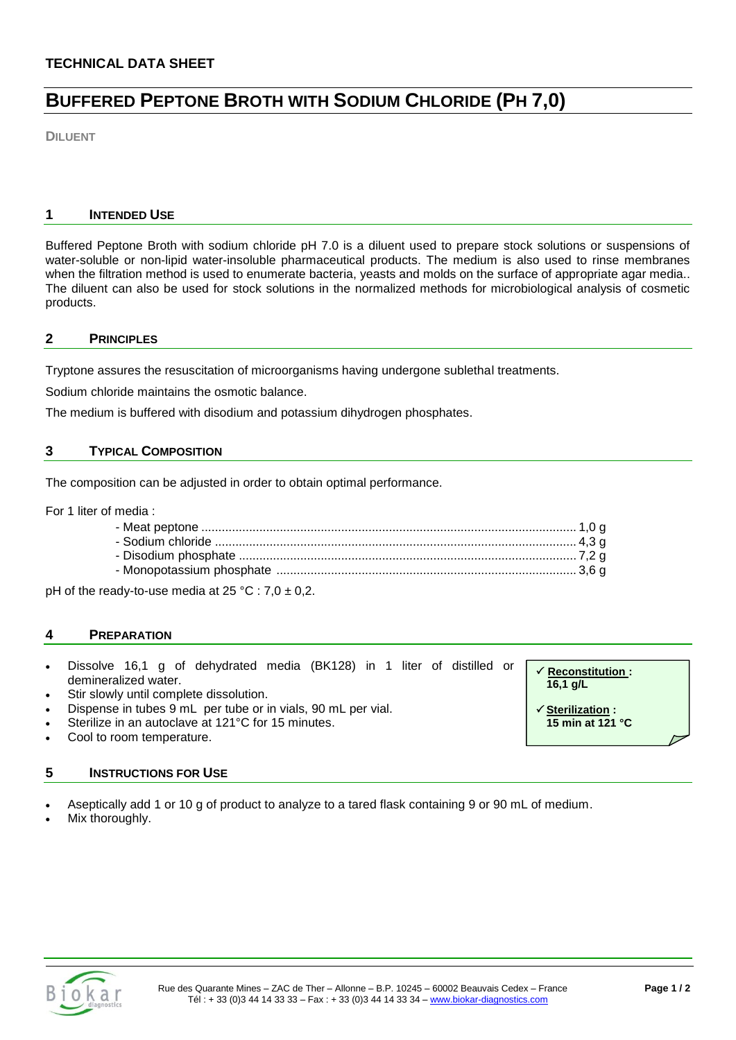# **BUFFERED PEPTONE BROTH WITH SODIUM CHLORIDE (PH 7,0)**

**DILUENT**

# **1 INTENDED USE**

Buffered Peptone Broth with sodium chloride pH 7.0 is a diluent used to prepare stock solutions or suspensions of water-soluble or non-lipid water-insoluble pharmaceutical products. The medium is also used to rinse membranes when the filtration method is used to enumerate bacteria, yeasts and molds on the surface of appropriate agar media.. The diluent can also be used for stock solutions in the normalized methods for microbiological analysis of cosmetic products.

# **2 PRINCIPLES**

Tryptone assures the resuscitation of microorganisms having undergone sublethal treatments.

Sodium chloride maintains the osmotic balance.

The medium is buffered with disodium and potassium dihydrogen phosphates.

# **3 TYPICAL COMPOSITION**

The composition can be adjusted in order to obtain optimal performance.

For 1 liter of media :

pH of the ready-to-use media at  $25 \text{ °C}$  :  $7,0 \pm 0,2$ .

## **4 PREPARATION**

- Dissolve 16,1 g of dehydrated media (BK128) in 1 liter of distilled or demineralized water.
- Stir slowly until complete dissolution.
- Dispense in tubes 9 mL per tube or in vials, 90 mL per vial.
- Sterilize in an autoclave at 121°C for 15 minutes.
- Cool to room temperature.

## **5 INSTRUCTIONS FOR USE**

Aseptically add 1 or 10 g of product to analyze to a tared flask containing 9 or 90 mL of medium.

Mix thoroughly.





 **Sterilization : 15 min at 121 °C**